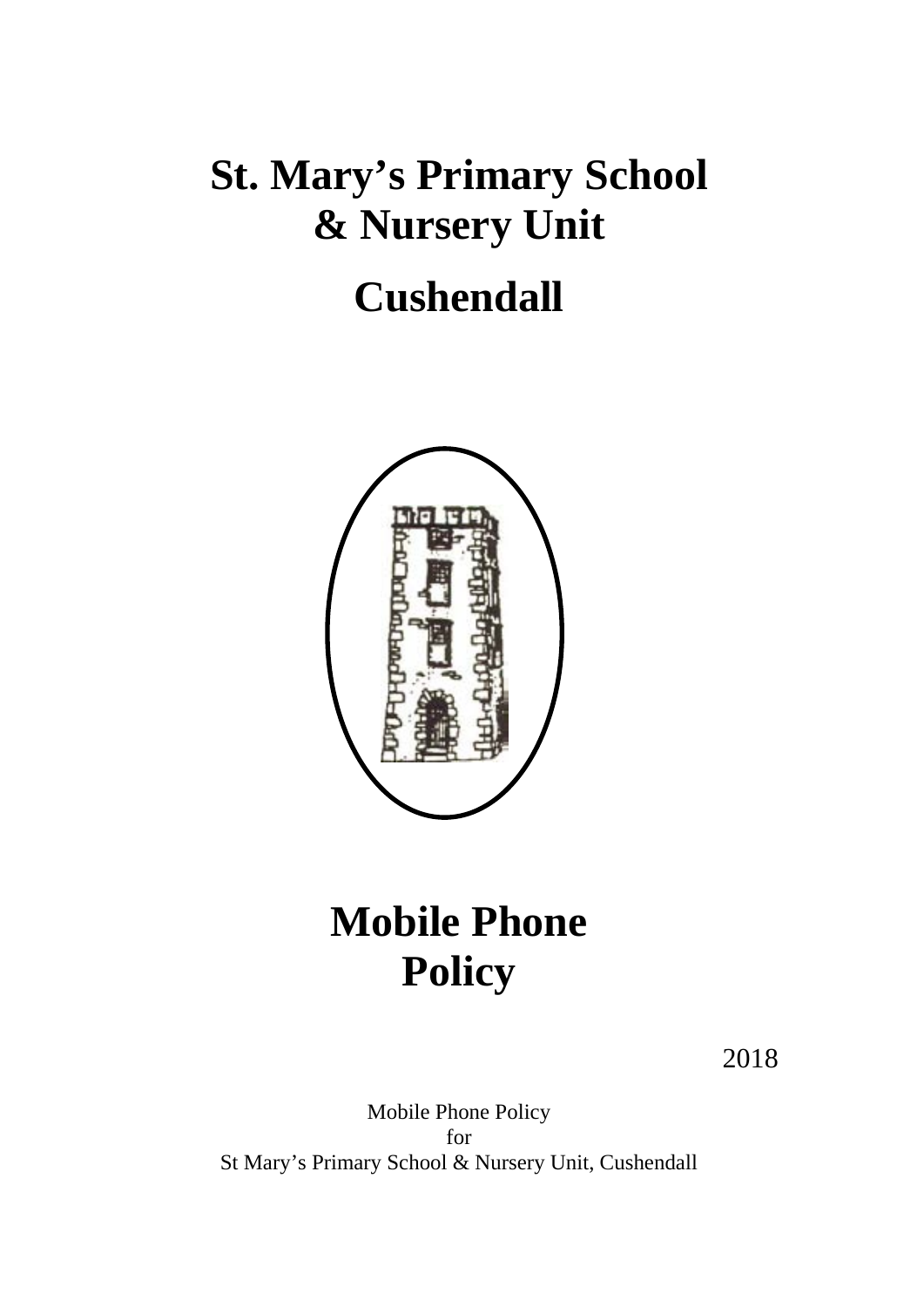# **St. Mary's Primary School & Nursery Unit**

### **Cushendall**



## **Mobile Phone Policy**

2018

Mobile Phone Policy for St Mary's Primary School & Nursery Unit, Cushendall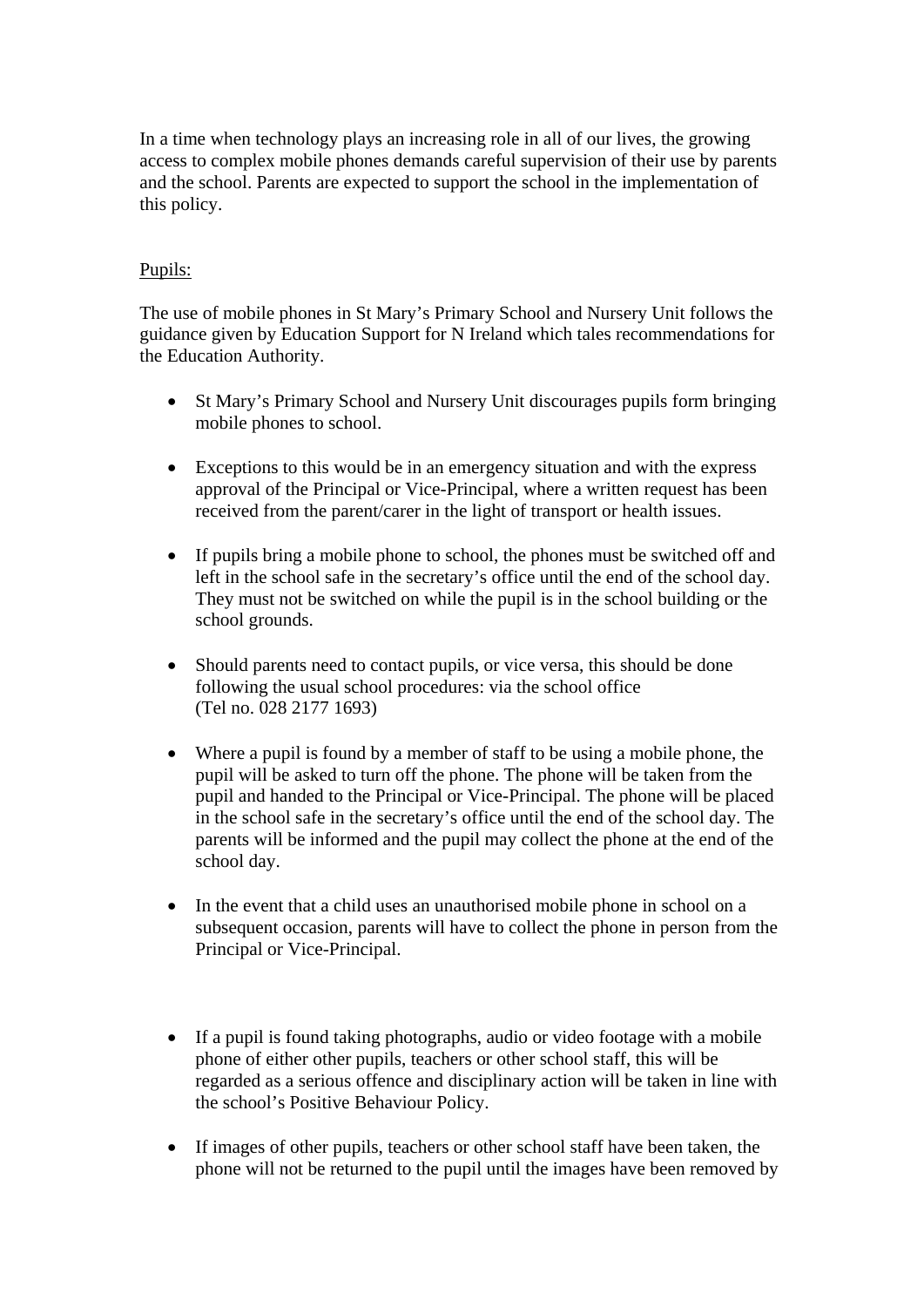In a time when technology plays an increasing role in all of our lives, the growing access to complex mobile phones demands careful supervision of their use by parents and the school. Parents are expected to support the school in the implementation of this policy.

### Pupils:

The use of mobile phones in St Mary's Primary School and Nursery Unit follows the guidance given by Education Support for N Ireland which tales recommendations for the Education Authority.

- St Mary's Primary School and Nursery Unit discourages pupils form bringing mobile phones to school.
- Exceptions to this would be in an emergency situation and with the express approval of the Principal or Vice-Principal, where a written request has been received from the parent/carer in the light of transport or health issues.
- If pupils bring a mobile phone to school, the phones must be switched off and left in the school safe in the secretary's office until the end of the school day. They must not be switched on while the pupil is in the school building or the school grounds.
- Should parents need to contact pupils, or vice versa, this should be done following the usual school procedures: via the school office (Tel no. 028 2177 1693)
- Where a pupil is found by a member of staff to be using a mobile phone, the pupil will be asked to turn off the phone. The phone will be taken from the pupil and handed to the Principal or Vice-Principal. The phone will be placed in the school safe in the secretary's office until the end of the school day. The parents will be informed and the pupil may collect the phone at the end of the school day.
- In the event that a child uses an unauthorised mobile phone in school on a subsequent occasion, parents will have to collect the phone in person from the Principal or Vice-Principal.
- If a pupil is found taking photographs, audio or video footage with a mobile phone of either other pupils, teachers or other school staff, this will be regarded as a serious offence and disciplinary action will be taken in line with the school's Positive Behaviour Policy.
- If images of other pupils, teachers or other school staff have been taken, the phone will not be returned to the pupil until the images have been removed by